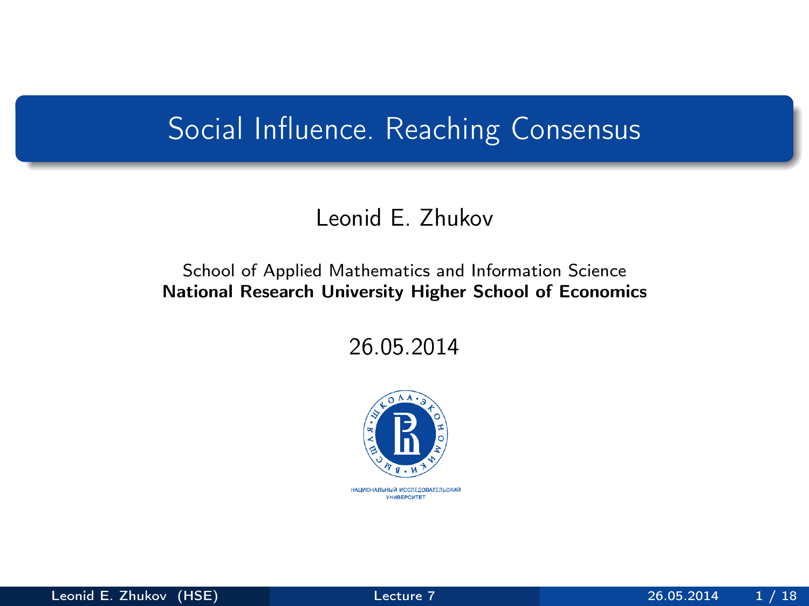### <span id="page-0-0"></span>Social Influence. Reaching Consensus

### Leonid E. Zhukov

#### School of Applied Mathematics and Information Science National Research University Higher School of Economics

26.05.2014

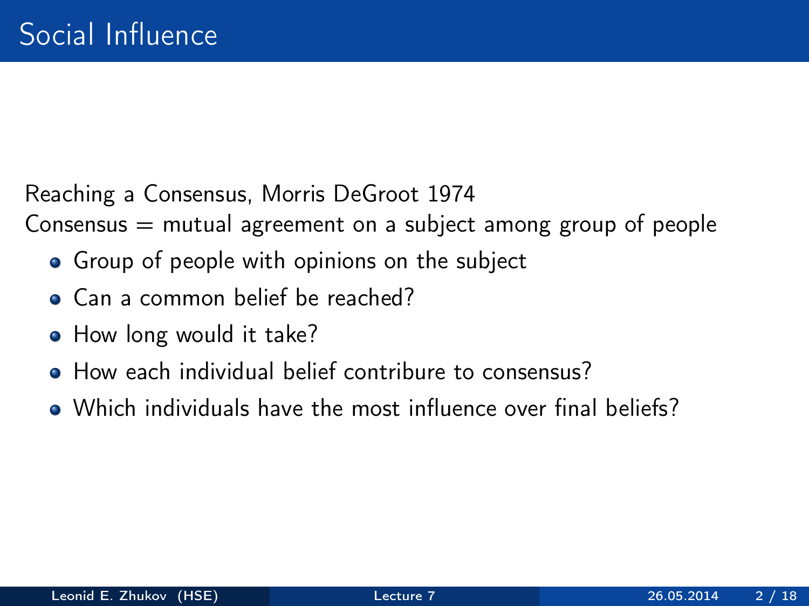Reaching a Consensus, Morris DeGroot 1974

Consensus  $=$  mutual agreement on a subject among group of people

- Group of people with opinions on the subject
- Can a common belief be reached?
- How long would it take?
- How each individual belief contribure to consensus?
- Which individuals have the most influence over final beliefs?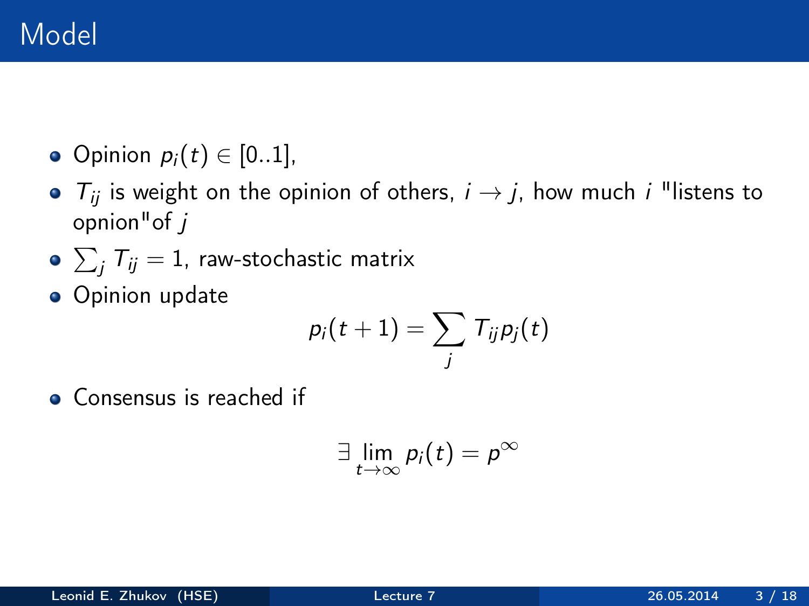- Opinion  $p_i(t) \in [0..1]$ ,
- $T_{ij}$  is weight on the opinion of others,  $i \rightarrow j$ , how much i "listens to opnion"of j
- $\sum_j \mathcal{T}_{ij} = 1$ , raw-stochastic matrix
- **•** Opinion update

$$
\rho_i(t+1) = \sum_j \, T_{ij} \rho_j(t)
$$

• Consensus is reached if

$$
\exists \lim_{t\to\infty} p_i(t) = p^{\infty}
$$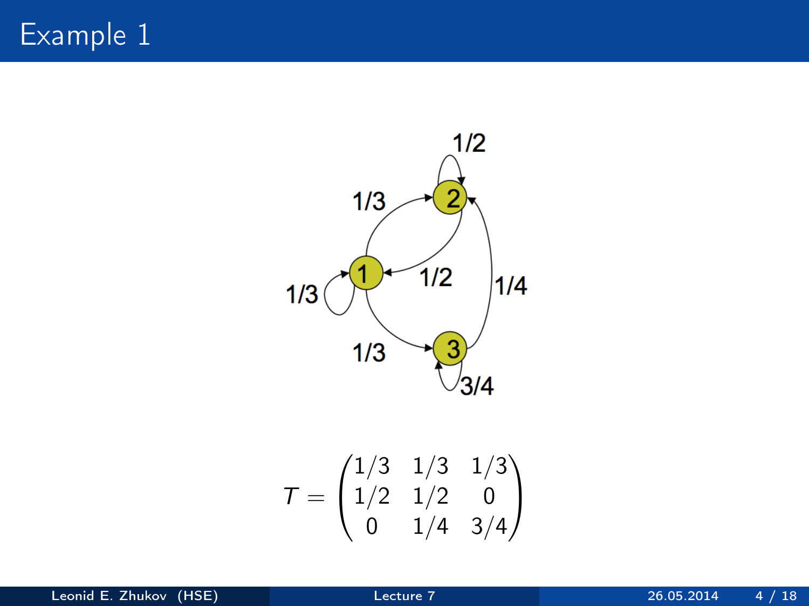Example 1



$$
\mathcal{T} = \begin{pmatrix} 1/3 & 1/3 & 1/3 \\ 1/2 & 1/2 & 0 \\ 0 & 1/4 & 3/4 \end{pmatrix}
$$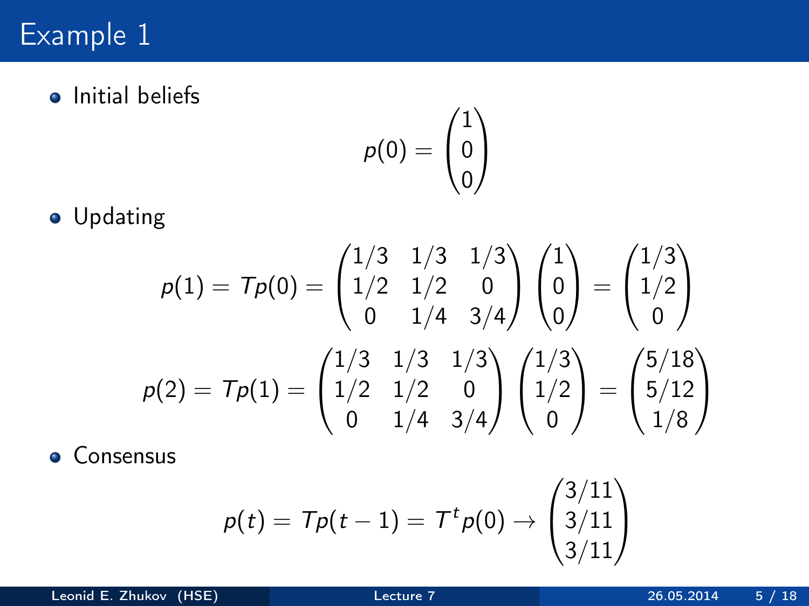# Example 1

**o** Initial beliefs

$$
p(0) = \begin{pmatrix} 1 \\ 0 \\ 0 \end{pmatrix}
$$

**•** Updating

$$
p(1) = Tp(0) = \begin{pmatrix} 1/3 & 1/3 & 1/3 \\ 1/2 & 1/2 & 0 \\ 0 & 1/4 & 3/4 \end{pmatrix} \begin{pmatrix} 1 \\ 0 \\ 0 \end{pmatrix} = \begin{pmatrix} 1/3 \\ 1/2 \\ 0 \end{pmatrix}
$$

$$
p(2) = Tp(1) = \begin{pmatrix} 1/3 & 1/3 & 1/3 \\ 1/2 & 1/2 & 0 \\ 0 & 1/4 & 3/4 \end{pmatrix} \begin{pmatrix} 1/3 \\ 1/2 \\ 0 \end{pmatrix} = \begin{pmatrix} 5/18 \\ 5/12 \\ 1/8 \end{pmatrix}
$$

**•** Consensus

$$
p(t) = Tp(t-1) = Ttp(0) \rightarrow \begin{pmatrix} 3/11 \\ 3/11 \\ 3/11 \end{pmatrix}
$$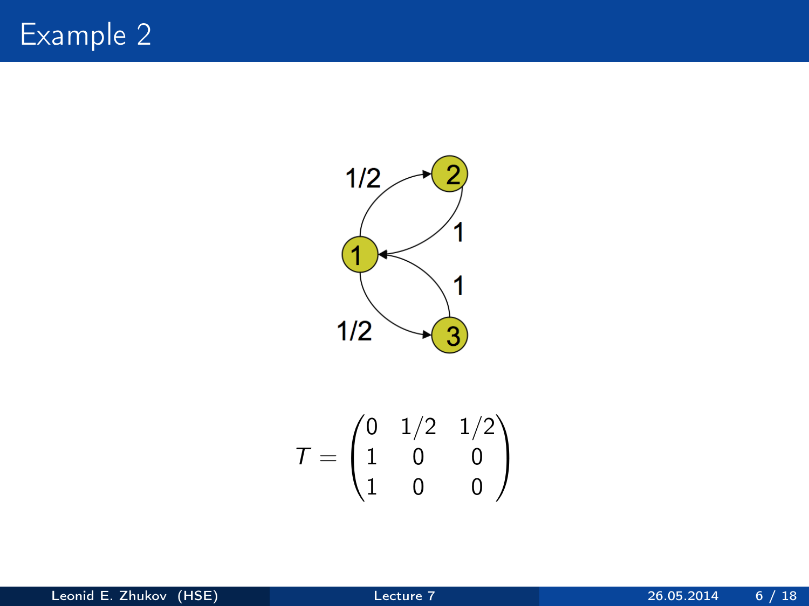

$$
\mathcal{T} = \begin{pmatrix} 0 & 1/2 & 1/2 \\ 1 & 0 & 0 \\ 1 & 0 & 0 \end{pmatrix}
$$

Leonid E. Zhukov (HSE) [Lecture 7](#page-0-0) 26.05.2014 6 / 18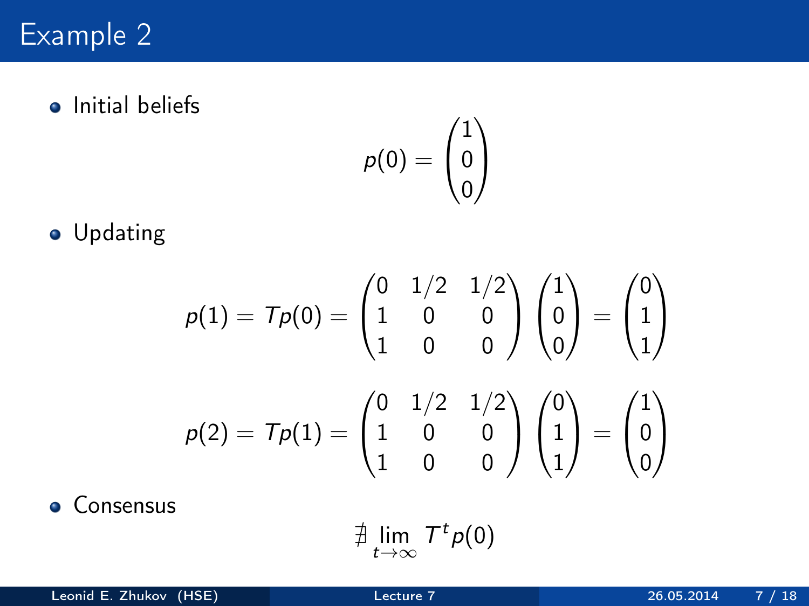### Example 2

**•** Initial beliefs

$$
\rho(0)=\begin{pmatrix}1\\0\\0\end{pmatrix}
$$

**•** Updating

$$
p(1) = Tp(0) = \begin{pmatrix} 0 & 1/2 & 1/2 \\ 1 & 0 & 0 \\ 1 & 0 & 0 \end{pmatrix} \begin{pmatrix} 1 \\ 0 \\ 0 \end{pmatrix} = \begin{pmatrix} 0 \\ 1 \\ 1 \end{pmatrix}
$$

$$
p(2) = Tp(1) = \begin{pmatrix} 0 & 1/2 & 1/2 \\ 1 & 0 & 0 \\ 1 & 0 & 0 \end{pmatrix} \begin{pmatrix} 0 \\ 1 \\ 1 \end{pmatrix} = \begin{pmatrix} 1 \\ 0 \\ 0 \end{pmatrix}
$$

**•** Consensus

$$
\nexists \lim_{t\to\infty} T^t \rho(0)
$$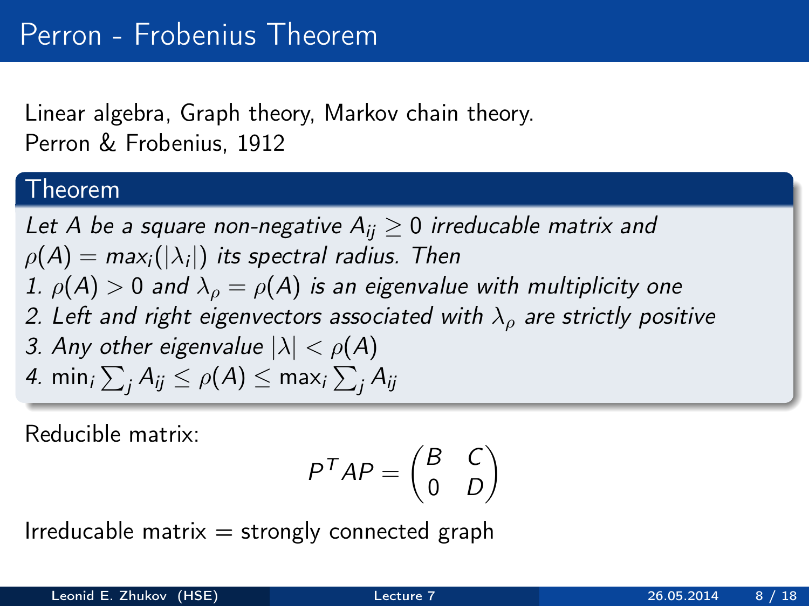### Linear algebra, Graph theory, Markov chain theory. Perron & Frobenius, 1912

### Theorem

Let A be a square non-negative  $A_{ii} \geq 0$  irreducable matrix and  $\rho(A) =$  max $_i(|\lambda_i|)$  its spectral radius. Then 1.  $\rho(A) > 0$  and  $\lambda_0 = \rho(A)$  is an eigenvalue with multiplicity one 2. Left and right eigenvectors associated with  $\lambda_0$  are strictly positive 3. Any other eigenvalue  $|\lambda| < \rho(A)$ 4. min $_{i}\sum_{j}A_{ij}\leq\rho(A)\leq$  max $_{i}\sum_{j}A_{ij}$ 

Reducible matrix:

$$
P^T A P = \begin{pmatrix} B & C \\ 0 & D \end{pmatrix}
$$

Irreducable matrix  $=$  strongly connected graph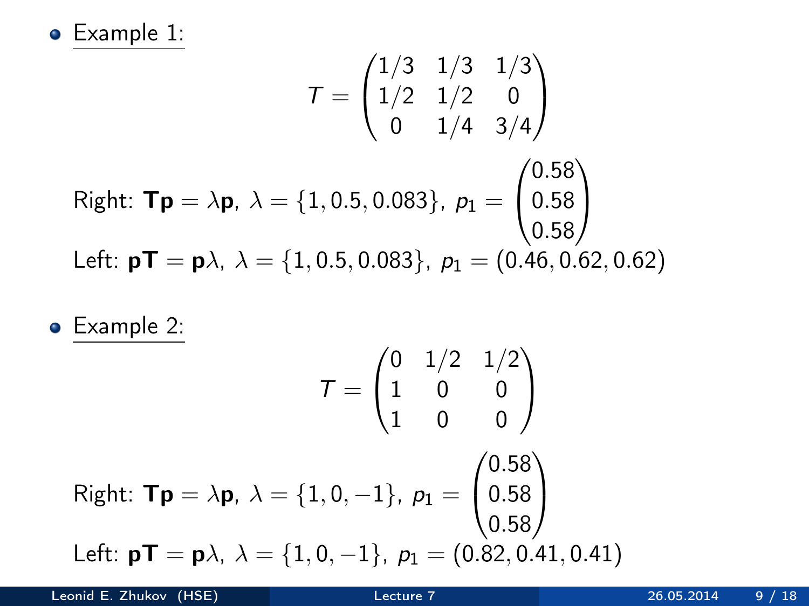Example 1:

$$
\mathbf{T} = \begin{pmatrix} 1/3 & 1/3 & 1/3 \\ 1/2 & 1/2 & 0 \\ 0 & 1/4 & 3/4 \end{pmatrix}
$$
  
Right:  $\mathbf{Tp} = \lambda \mathbf{p}$ ,  $\lambda = \{1, 0.5, 0.083\}$ ,  $p_1 = \begin{pmatrix} 0.58 \\ 0.58 \\ 0.58 \end{pmatrix}$   
Left:  $\mathbf{pT} = \mathbf{p}\lambda$ ,  $\lambda = \{1, 0.5, 0.083\}$ ,  $p_1 = (0.46, 0.62, 0.62)$ 

Example 2:

$$
\mathbf{T} = \begin{pmatrix} 0 & 1/2 & 1/2 \\ 1 & 0 & 0 \\ 1 & 0 & 0 \end{pmatrix}
$$
  
Right:  $\mathbf{Tp} = \lambda \mathbf{p}, \ \lambda = \{1, 0, -1\}, \ p_1 = \begin{pmatrix} 0.58 \\ 0.58 \\ 0.58 \end{pmatrix}$   
Left:  $\mathbf{pT} = \mathbf{p}\lambda, \ \lambda = \{1, 0, -1\}, \ p_1 = (0.82, 0.41, 0.41)$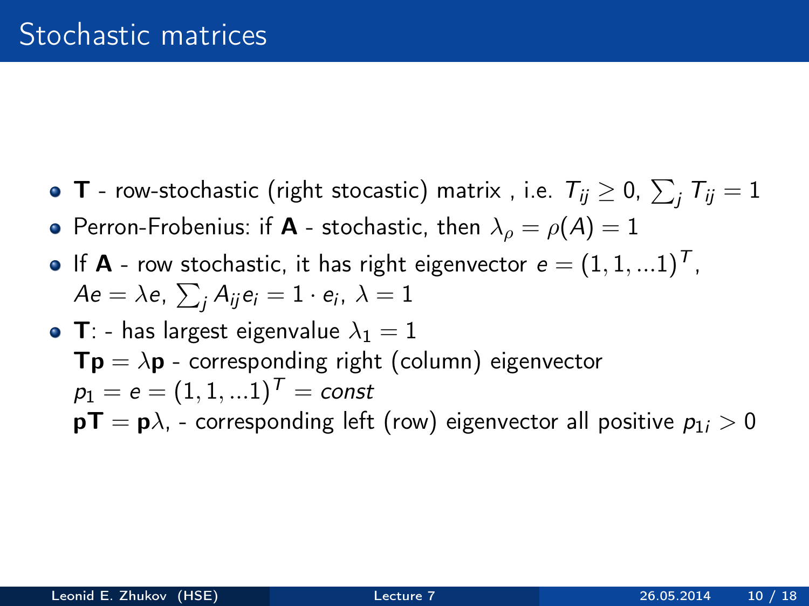- **T** row-stochastic (right stocastic) matrix , i.e.  $T_{ij} \geq 0, \, \sum_j T_{ij} = 1$
- Perron-Frobenius: if **A** stochastic, then  $\lambda_o = \rho(A) = 1$
- If **A** row stochastic, it has right eigenvector  $e = (1, 1, ...1)^T$ ,  $A$ e $=\lambda$ e,  $\sum_{j}A_{ij}$ e $_{i}=1\cdot$  e $_{i}$ ,  $\lambda=1$
- T: has largest eigenvalue  $\lambda_1 = 1$  $Tp = \lambda p$  - corresponding right (column) eigenvector  $p_1 = e = (1, 1, ... 1)^T = const$  $pT = p\lambda$ , - corresponding left (row) eigenvector all positive  $p_{1i} > 0$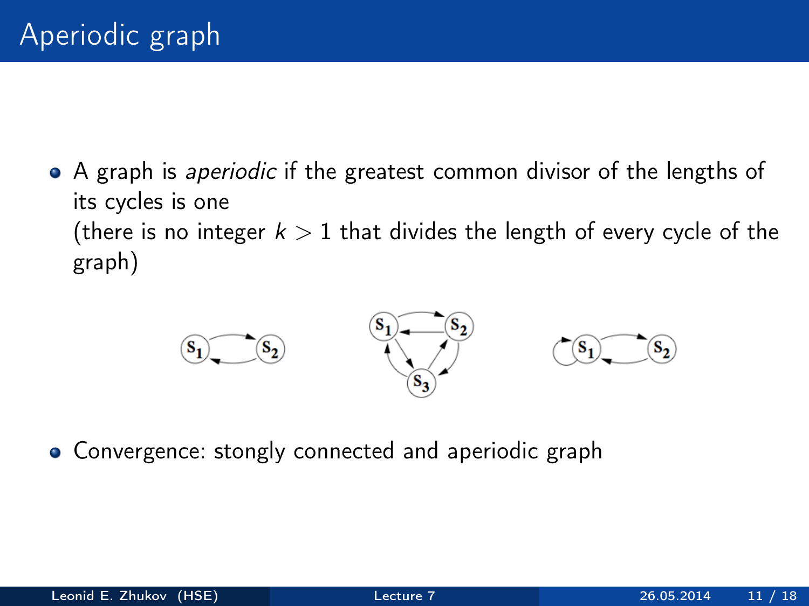• A graph is *aperiodic* if the greatest common divisor of the lengths of its cycles is one (there is no integer  $k > 1$  that divides the length of every cycle of the graph)



• Convergence: stongly connected and aperiodic graph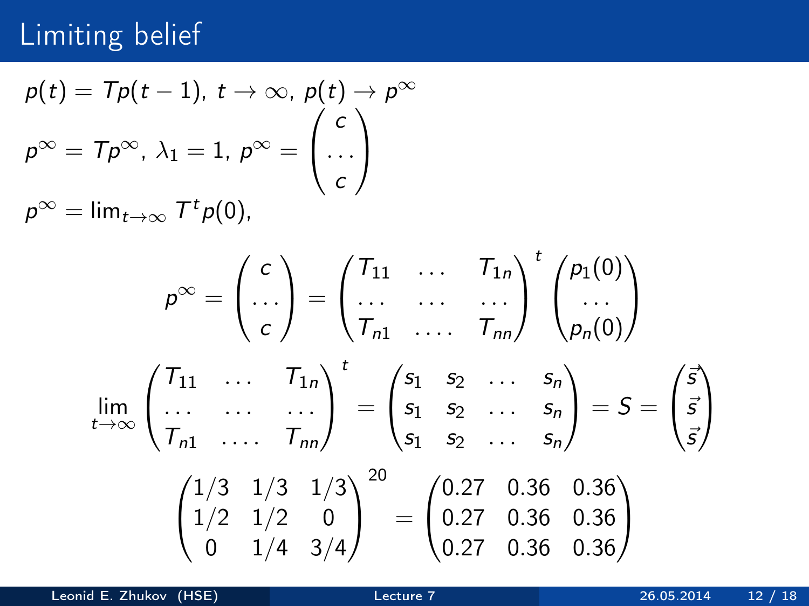# Limiting belief

$$
p(t) = Tp(t-1), t \to \infty, p(t) \to p^{\infty}
$$
  

$$
p^{\infty} = Tp^{\infty}, \lambda_1 = 1, p^{\infty} = \begin{pmatrix} c \\ \cdots \\ c \end{pmatrix}
$$
  

$$
p^{\infty} = \lim_{t \to \infty} T^t p(0),
$$

$$
\rho^{\infty} = \begin{pmatrix} c \\ \dots \\ c \end{pmatrix} = \begin{pmatrix} T_{11} & \dots & T_{1n} \\ \dots & \dots & \dots \\ T_{n1} & \dots & T_{nn} \end{pmatrix}^{t} \begin{pmatrix} p_1(0) \\ \dots \\ p_n(0) \end{pmatrix}
$$
  
\n
$$
\lim_{t \to \infty} \begin{pmatrix} T_{11} & \dots & T_{1n} \\ \dots & \dots & \dots \\ T_{n1} & \dots & T_{nn} \end{pmatrix}^{t} = \begin{pmatrix} s_1 & s_2 & \dots & s_n \\ s_1 & s_2 & \dots & s_n \\ s_1 & s_2 & \dots & s_n \end{pmatrix} = S = \begin{pmatrix} \vec{s} \\ \vec{s} \\ \vec{s} \end{pmatrix}
$$
  
\n
$$
\begin{pmatrix} 1/3 & 1/3 & 1/3 \\ 1/2 & 1/2 & 0 \\ 0 & 1/4 & 3/4 \end{pmatrix}^{20} = \begin{pmatrix} 0.27 & 0.36 & 0.36 \\ 0.27 & 0.36 & 0.36 \\ 0.27 & 0.36 & 0.36 \end{pmatrix}
$$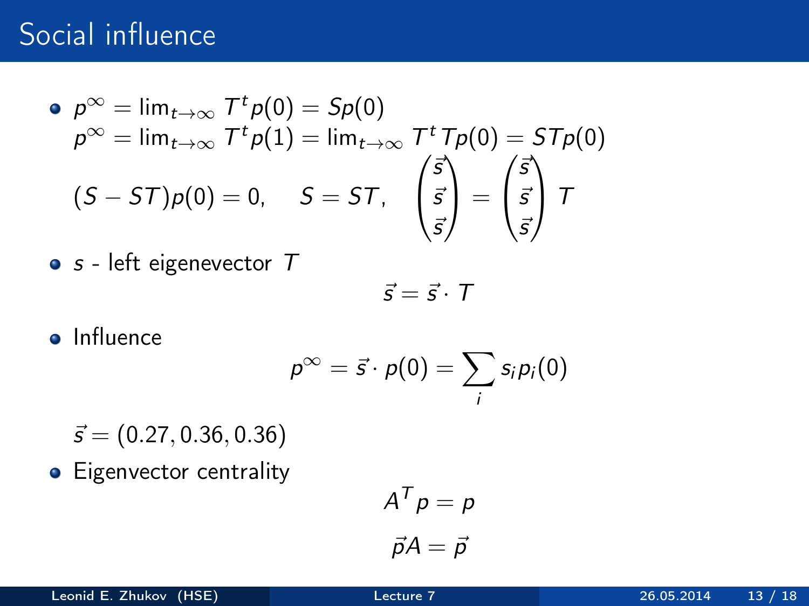## Social influence

$$
\begin{aligned}\n\bullet \ \rho^{\infty} &= \lim_{t \to \infty} \mathcal{T}^t \rho(0) = Sp(0) \\
\rho^{\infty} &= \lim_{t \to \infty} \mathcal{T}^t \rho(1) = \lim_{t \to \infty} \mathcal{T}^t \mathcal{T} \rho(0) = ST \rho(0) \\
(S - ST) \rho(0) &= 0, \quad S = ST, \quad \begin{pmatrix} \vec{s} \\
\vec{s} \\
\vec{s} \end{pmatrix} = \begin{pmatrix} \vec{s} \\
\vec{s} \\
\vec{s} \end{pmatrix} \mathcal{T}\n\end{aligned}
$$

$$
\bullet
$$
 s - left eigenvector  $T$ 

$$
\vec{s} = \vec{s} \cdot T
$$

• Influence

$$
p^{\infty}=\vec{s}\cdot p(0)=\sum_i s_i p_i(0)
$$

- $\vec{s} = (0.27, 0.36, 0.36)$
- Eigenvector centrality

$$
A^T p = p
$$

$$
\vec{p}A = \vec{p}
$$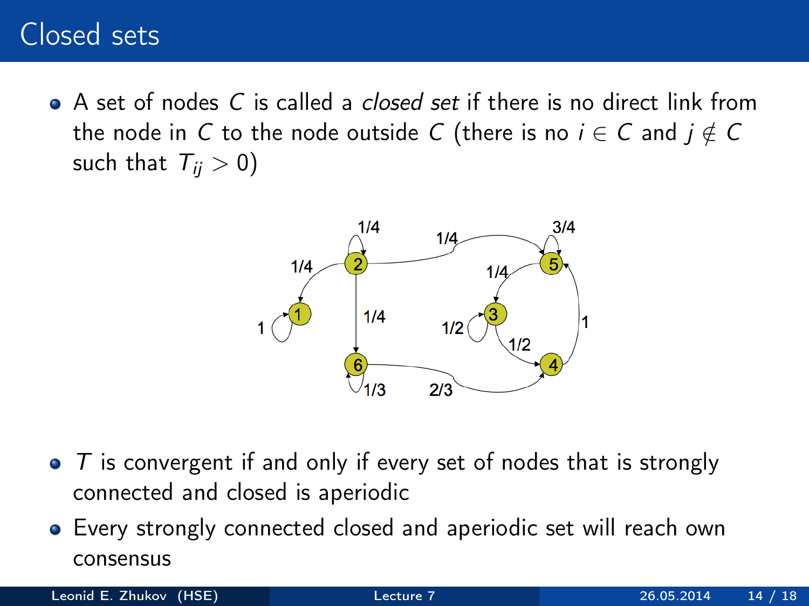### Closed sets

 $\bullet$  A set of nodes C is called a *closed set* if there is no direct link from the node in C to the node outside C (there is no  $i \in C$  and  $j \notin C$ such that  $T_{ii} > 0$ )



- $\bullet$  T is convergent if and only if every set of nodes that is strongly connected and closed is aperiodic
- Every strongly connected closed and aperiodic set will reach own consensus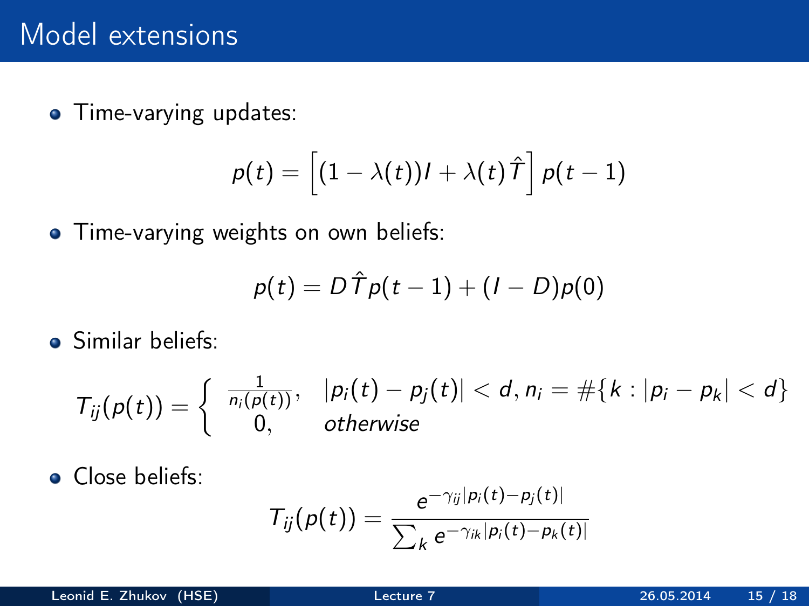• Time-varying updates:

$$
\rho(t) = \left[ (1-\lambda(t))l + \lambda(t)\,\hat{\mathit{T}} \right]\rho(t-1)
$$

• Time-varying weights on own beliefs:

$$
p(t) = D \hat{\mathcal{T}} p(t-1) + (I - D)p(0)
$$

**Similar beliefs:** 

$$
T_{ij}(p(t)) = \left\{ \begin{array}{ll} \frac{1}{n_i(p(t))}, & |p_i(t) - p_j(t)| < d, n_i = \#\{k : |p_i - p_k| < d\} \\ 0, & \text{otherwise} \end{array} \right.
$$

**o** Close beliefs:

$$
T_{ij}(p(t)) = \frac{e^{-\gamma_{ij}|p_i(t)-p_j(t)|}}{\sum_k e^{-\gamma_{ik}|p_i(t)-p_k(t)|}}
$$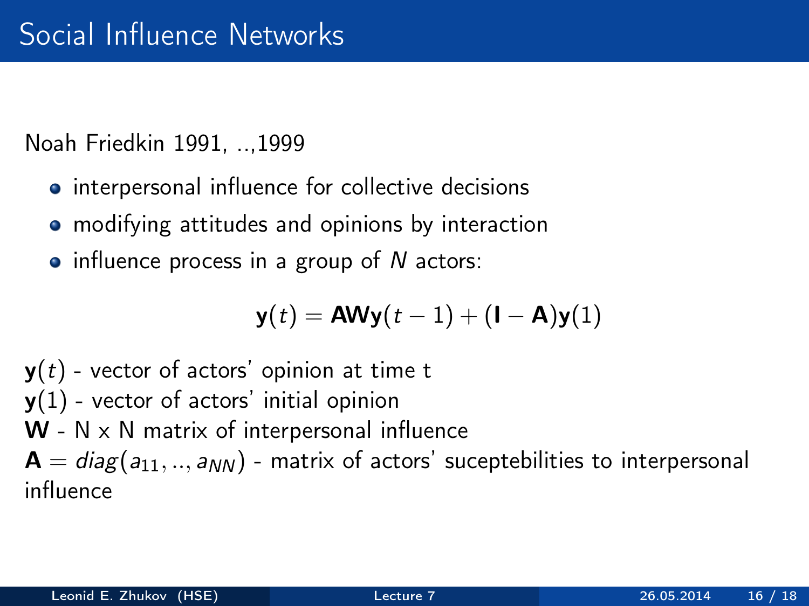Noah Friedkin 1991, ..,1999

- **•** interpersonal influence for collective decisions
- modifying attitudes and opinions by interaction
- $\bullet$  influence process in a group of N actors:

$$
\mathbf{y}(t) = \mathbf{A}\mathbf{W}\mathbf{y}(t-1) + (\mathbf{I} - \mathbf{A})\mathbf{y}(1)
$$

 $y(t)$  - vector of actors' opinion at time t  $y(1)$  - vector of actors' initial opinion  $W - N \times N$  matrix of interpersonal influence  $A = diag(a_{11},.., a_{NN})$  - matrix of actors' suceptebilities to interpersonal influence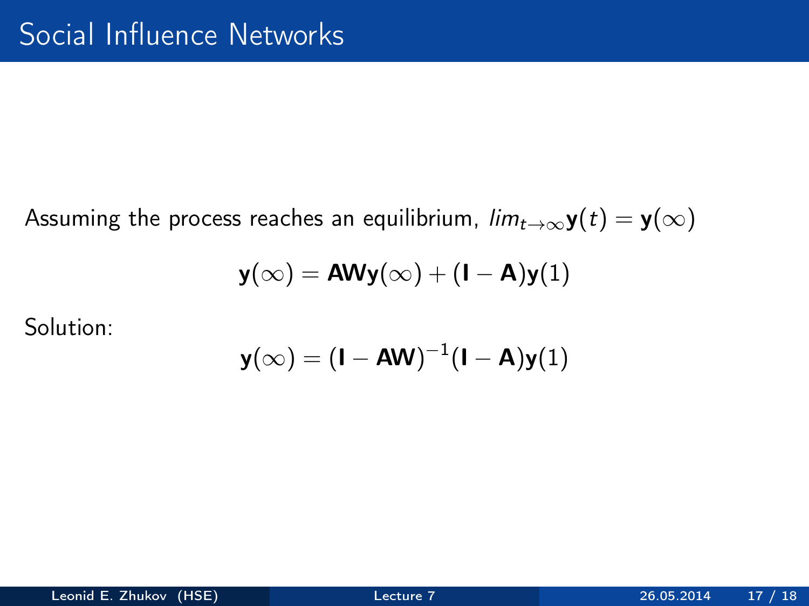Assuming the process reaches an equilibrium,  $\lim_{t\to\infty} y(t) = y(\infty)$ 

$$
\mathbf{y}(\infty) = \mathbf{A}\mathbf{W}\mathbf{y}(\infty) + (\mathbf{I} - \mathbf{A})\mathbf{y}(1)
$$

Solution:

$$
\mathbf{y}(\infty) = (\mathbf{I} - \mathbf{A}\mathbf{W})^{-1}(\mathbf{I} - \mathbf{A})\mathbf{y}(1)
$$